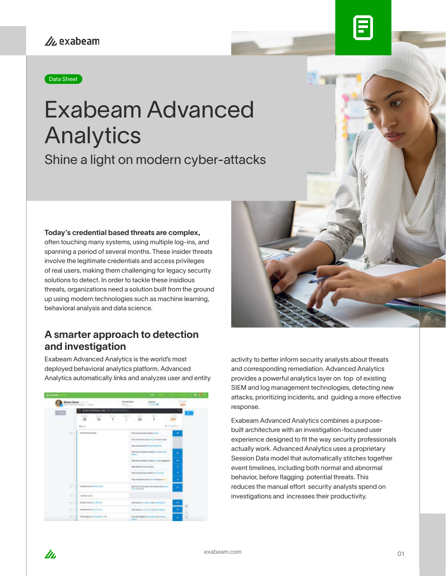#### Data Sheet

# Exabeam Advanced Analytics

Shine a light on modern cyber-attacks

#### Today's credential based threats are complex,

often touching many systems, using multiple log-ins, and spanning a period of several months. These insider threats involve the legitimate credentials and access privileges of real users, making them challenging for legacy security solutions to detect. In order to tackle these insidious threats, organizations need a solution built from the ground up using modern technologies such as machine learning, behavioral analysis and data science.

#### A smarter approach to detection and investigation

Exabeam Advanced Analytics is the world's most deployed behavioral analytics platform. Advanced Analytics automatically links and analyzes user and entity



In.



activity to better inform security analysts about threats and corresponding remediation. Advanced Analytics provides a powerful analytics layer on top of existing SIEM and log management technologies, detecting new attacks, prioritizing incidents, and guiding a more effective response.

Exabeam Advanced Analytics combines a purposebuilt architecture with an investigation-focused user experience designed to fit the way security professionals actually work. Advanced Analytics uses a proprietary Session Data model that automatically stitches together event timelines, including both normal and abnormal behavior, before flagging potential threats. This reduces the manual effort security analysts spend on investigations and increases their productivity.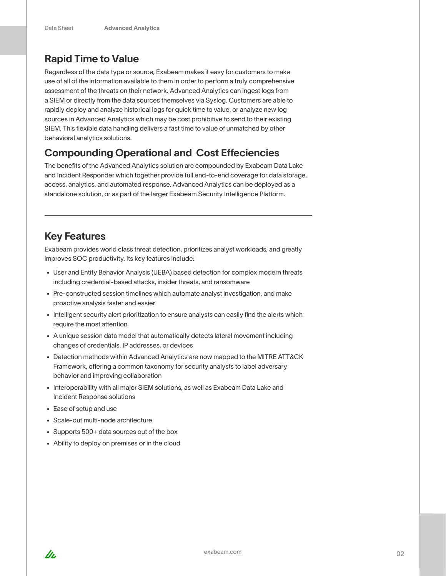## Rapid Time to Value

Regardless of the data type or source, Exabeam makes it easy for customers to make use of all of the information available to them in order to perform a truly comprehensive assessment of the threats on their network. Advanced Analytics can ingest logs from a SIEM or directly from the data sources themselves via Syslog. Customers are able to rapidly deploy and analyze historical logs for quick time to value, or analyze new log sources in Advanced Analytics which may be cost prohibitive to send to their existing SIEM. This flexible data handling delivers a fast time to value of unmatched by other behavioral analytics solutions.

### Compounding Operational and Cost Effeciencies

The benefits of the Advanced Analytics solution are compounded by Exabeam Data Lake and Incident Responder which together provide full end-to-end coverage for data storage, access, analytics, and automated response. Advanced Analytics can be deployed as a standalone solution, or as part of the larger Exabeam Security Intelligence Platform.

#### Key Features

Exabeam provides world class threat detection, prioritizes analyst workloads, and greatly improves SOC productivity. Its key features include:

- User and Entity Behavior Analysis (UEBA) based detection for complex modern threats including credential-based attacks, insider threats, and ransomware
- Pre-constructed session timelines which automate analyst investigation, and make proactive analysis faster and easier
- Intelligent security alert prioritization to ensure analysts can easily find the alerts which require the most attention
- A unique session data model that automatically detects lateral movement including changes of credentials, IP addresses, or devices
- Detection methods within Advanced Analytics are now mapped to the MITRE ATT&CK Framework, offering a common taxonomy for security analysts to label adversary behavior and improving collaboration
- Interoperability with all major SIEM solutions, as well as Exabeam Data Lake and Incident Response solutions
- Ease of setup and use
- Scale-out multi-node architecture
- Supports 500+ data sources out of the box
- Ability to deploy on premises or in the cloud